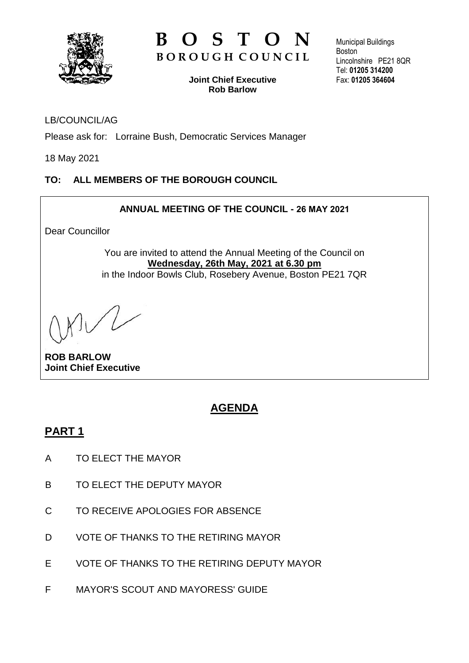

# **B O S T O N B O R O U G H C O U N C I L**

**Joint Chief Executive Rob Barlow**

Municipal Buildings **Boston** Lincolnshire PE21 8QR Tel: **01205 314200** Fax: **01205 364604**

### LB/COUNCIL/AG

Please ask for: Lorraine Bush, Democratic Services Manager

18 May 2021

### **TO: ALL MEMBERS OF THE BOROUGH COUNCIL**

### **ANNUAL MEETING OF THE COUNCIL - 26 MAY 2021**

Dear Councillor

You are invited to attend the Annual Meeting of the Council on **Wednesday, 26th May, 2021 at 6.30 pm** in the Indoor Bowls Club, Rosebery Avenue, Boston PE21 7QR

**ROB BARLOW Joint Chief Executive**

# **AGENDA**

### **PART 1**

- A TO ELECT THE MAYOR
- B TO ELECT THE DEPUTY MAYOR
- C TO RECEIVE APOLOGIES FOR ABSENCE
- D VOTE OF THANKS TO THE RETIRING MAYOR
- E VOTE OF THANKS TO THE RETIRING DEPUTY MAYOR
- F MAYOR'S SCOUT AND MAYORESS' GUIDE